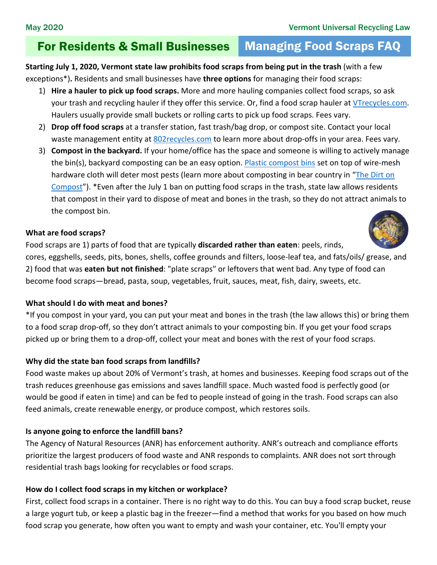# For Residents & Small Businesses Managing Food Scraps FAQ

**Starting July 1, 2020, Vermont state law prohibits food scraps from being put in the trash** (with a few exceptions\*)**.** Residents and small businesses have **three options** for managing their food scraps:

- 1) **Hire a hauler to pick up food scraps.** More and more hauling companies collect food scraps, so ask your trash and recycling hauler if they offer this service. Or, find a food scrap hauler at [VTrecycles.com.](http://dec.vermont.gov/sites/dec/files/wmp/SolidWaste/Documents/FoodScrapHaulersSTATEWIDELIST.pdf) Haulers usually provide small buckets or rolling carts to pick up food scraps. Fees vary.
- 2) **Drop off food scraps** at a transfer station, fast trash/bag drop, or compost site. Contact your local waste management entity at [802recycles.com](http://dec.vermont.gov/waste-management/solid/local-districts) to learn more about drop-offs in your area. Fees vary.
- 3) **Compost in the backyard.** If your home/office has the space and someone is willing to actively manage the bin(s), backyard composting can be an easy option[. Plastic compost bins](http://www.cvswmd.org/soilsaver-classic-composter.html) set on top of wire-mesh hardware cloth will deter most pests (learn more about composting in bear country in "The Dirt on [Compost"](https://dec.vermont.gov/sites/dec/files/wmp/SolidWaste/Documents/Universal-Recycling/The-Dirt-on-Compost.pdf)). \*Even after the July 1 ban on putting food scraps in the trash, state law allows residents that compost in their yard to dispose of meat and bones in the trash, so they do not attract animals to the compost bin.

#### **What are food scraps?**

Food scraps are 1) parts of food that are typically **discarded rather than eaten**: peels, rinds, cores, eggshells, seeds, pits, bones, shells, coffee grounds and filters, loose-leaf tea, and fats/oils/ grease, and 2) food that was **eaten but not finished**: "plate scraps" or leftovers that went bad. Any type of food can become food scraps—bread, pasta, soup, vegetables, fruit, sauces, meat, fish, dairy, sweets, etc.

## **What should I do with meat and bones?**

\*If you compost in your yard, you can put your meat and bones in the trash (the law allows this) or bring them to a food scrap drop-off, so they don't attract animals to your composting bin. If you get your food scraps picked up or bring them to a drop-off, collect your meat and bones with the rest of your food scraps.

## **Why did the state ban food scraps from landfills?**

Food waste makes up about 20% of Vermont's trash, at homes and businesses. Keeping food scraps out of the trash reduces greenhouse gas emissions and saves landfill space. Much wasted food is perfectly good (or would be good if eaten in time) and can be fed to people instead of going in the trash. Food scraps can also feed animals, create renewable energy, or produce compost, which restores soils.

## **Is anyone going to enforce the landfill bans?**

The Agency of Natural Resources (ANR) has enforcement authority. ANR's outreach and compliance efforts prioritize the largest producers of food waste and ANR responds to complaints. ANR does not sort through residential trash bags looking for recyclables or food scraps.

## **How do I collect food scraps in my kitchen or workplace?**

First, collect food scraps in a container. There is no right way to do this. You can buy a food scrap bucket, reuse a large yogurt tub, or keep a plastic bag in the freezer—find a method that works for you based on how much food scrap you generate, how often you want to empty and wash your container, etc. You'll empty your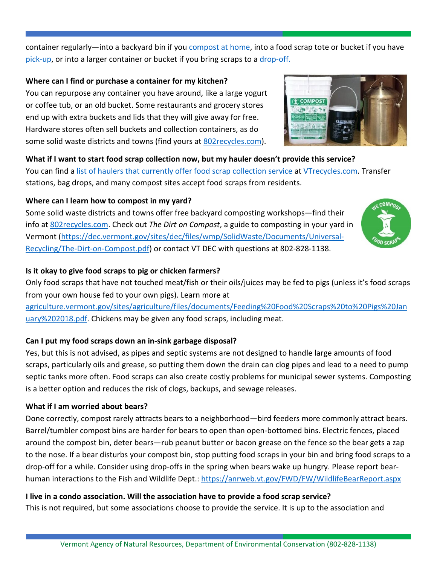container regularly—into a backyard bin if you [compost at home,](https://dec.vermont.gov/waste-management/solid/materials-mgmt/organic-materials#Backyard%20compost) into a food scrap tote or bucket if you have [pick-up,](https://dec.vermont.gov/waste-management/solid/materials-mgmt/organic-materials#Drop-off%20and%20Pick-up) or into a larger container or bucket if you bring scraps to a [drop-off.](https://dec.vermont.gov/waste-management/solid/materials-mgmt/organic-materials#Drop-off%20and%20Pick-up)

#### **Where can I find or purchase a container for my kitchen?**

You can repurpose any container you have around, like a large yogurt or coffee tub, or an old bucket. Some restaurants and grocery stores end up with extra buckets and lids that they will give away for free. Hardware stores often sell buckets and collection containers, as do some solid waste districts and towns (find yours at 802 recycles.com).



#### **What if I want to start food scrap collection now, but my hauler doesn't provide this service?**

You can find a [list of haulers that currently offer food scrap collection service](https://dec.vermont.gov/sites/dec/files/wmp/SolidWaste/Documents/FoodScrapHaulersSTATEWIDELIST.pdf) at [VTrecycles.com.](file://vtanr/docs/WM_Solid/WorkingGroups/Act%20148/Outreach%20and%20Enforcement/Landlords/Landlord%20Association%20Newsletter%20Articles/VTrecycles.com) Transfer stations, bag drops, and many compost sites accept food scraps from residents.

## **Where can I learn how to compost in my yard?**

Some solid waste districts and towns offer free backyard composting workshops—find their info at [802recycles.com.](http://802recycles.com/) Check out *The Dirt on Compost*, a guide to composting in your yard in Vermont [\(https://dec.vermont.gov/sites/dec/files/wmp/SolidWaste/Documents/Universal-](https://dec.vermont.gov/sites/dec/files/wmp/SolidWaste/Documents/Universal-Recycling/The-Dirt-on-Compost.pdf)[Recycling/The-Dirt-on-Compost.pdf\)](https://dec.vermont.gov/sites/dec/files/wmp/SolidWaste/Documents/Universal-Recycling/The-Dirt-on-Compost.pdf) or contact VT DEC with questions at 802-828-1138.



## **Is it okay to give food scraps to pig or chicken farmers?**

Only food scraps that have not touched meat/fish or their oils/juices may be fed to pigs (unless it's food scraps from your own house fed to your own pigs). Learn more at

[agriculture.vermont.gov/sites/agriculture/files/documents/Feeding%20Food%20Scraps%20to%20Pigs%20Jan](https://agriculture.vermont.gov/sites/agriculture/files/documents/Feeding%20Food%20Scraps%20to%20Pigs%20January%202018.pdf) [uary%202018.pdf.](https://agriculture.vermont.gov/sites/agriculture/files/documents/Feeding%20Food%20Scraps%20to%20Pigs%20January%202018.pdf) Chickens may be given any food scraps, including meat.

## **Can I put my food scraps down an in-sink garbage disposal?**

Yes, but this is not advised, as pipes and septic systems are not designed to handle large amounts of food scraps, particularly oils and grease, so putting them down the drain can clog pipes and lead to a need to pump septic tanks more often. Food scraps can also create costly problems for municipal sewer systems. Composting is a better option and reduces the risk of clogs, backups, and sewage releases.

## **What if I am worried about bears?**

Done correctly, compost rarely attracts bears to a neighborhood—bird feeders more commonly attract bears. Barrel/tumbler compost bins are harder for bears to open than open-bottomed bins. Electric fences, placed around the compost bin, deter bears—rub peanut butter or bacon grease on the fence so the bear gets a zap to the nose. If a bear disturbs your compost bin, stop putting food scraps in your bin and bring food scraps to a drop-off for a while. Consider using drop-offs in the spring when bears wake up hungry. Please report bearhuman interactions to the Fish and Wildlife Dept.: <https://anrweb.vt.gov/FWD/FW/WildlifeBearReport.aspx>

## **I live in a condo association. Will the association have to provide a food scrap service?**

This is not required, but some associations choose to provide the service. It is up to the association and